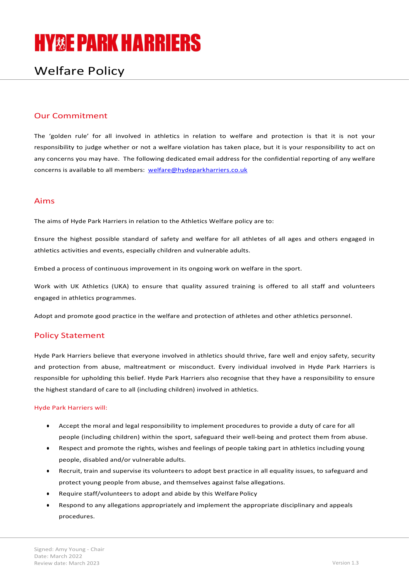# **HY&E PARK HARRIERS**

# Welfare Policy

## Our Commitment

The 'golden rule' for all involved in athletics in relation to welfare and protection is that it is not your responsibility to judge whether or not a welfare violation has taken place, but it is your responsibility to act on any concerns you may have. The following dedicated email address for the confidential reporting of any welfare concerns is available to all members: welfare@hydeparkharriers.co.uk

#### Aims

The aims of Hyde Park Harriers in relation to the Athletics Welfare policy are to:

Ensure the highest possible standard of safety and welfare for all athletes of all ages and others engaged in athletics activities and events, especially children and vulnerable adults.

Embed a process of continuous improvement in its ongoing work on welfare in the sport.

Work with UK Athletics (UKA) to ensure that quality assured training is offered to all staff and volunteers engaged in athletics programmes.

Adopt and promote good practice in the welfare and protection of athletes and other athletics personnel.

#### Policy Statement

Hyde Park Harriers believe that everyone involved in athletics should thrive, fare well and enjoy safety, security and protection from abuse, maltreatment or misconduct. Every individual involved in Hyde Park Harriers is responsible for upholding this belief. Hyde Park Harriers also recognise that they have a responsibility to ensure the highest standard of care to all (including children) involved in athletics.

#### Hyde Park Harriers will:

- Accept the moral and legal responsibility to implement procedures to provide a duty of care for all people (including children) within the sport, safeguard their well-being and protect them from abuse.
- Respect and promote the rights, wishes and feelings of people taking part in athletics including young people, disabled and/or vulnerable adults.
- Recruit, train and supervise its volunteers to adopt best practice in all equality issues, to safeguard and protect young people from abuse, and themselves against false allegations.
- Require staff/volunteers to adopt and abide by this Welfare Policy
- Respond to any allegations appropriately and implement the appropriate disciplinary and appeals procedures.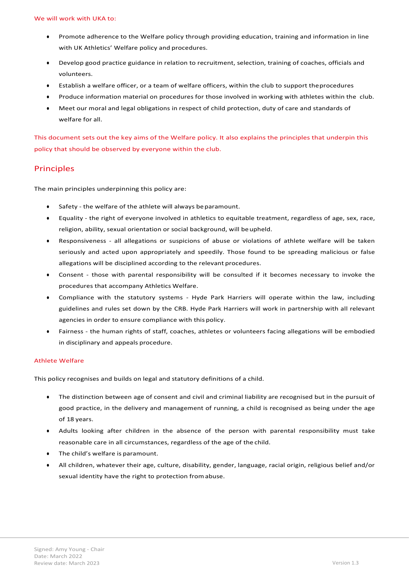- Promote adherence to the Welfare policy through providing education, training and information in line with UK Athletics' Welfare policy and procedures.
- Develop good practice guidance in relation to recruitment, selection, training of coaches, officials and volunteers.
- Establish a welfare officer, or a team of welfare officers, within the club to support the procedures
- Produce information material on procedures for those involved in working with athletes within the club.
- Meet our moral and legal obligations in respect of child protection, duty of care and standards of welfare for all.

This document sets out the key aims of the Welfare policy. It also explains the principles that underpin this policy that should be observed by everyone within the club.

#### Principles

The main principles underpinning this policy are:

- Safety the welfare of the athlete will always be paramount.
- Equality the right of everyone involved in athletics to equitable treatment, regardless of age, sex, race, religion, ability, sexual orientation or social background, will be upheld.
- Responsiveness all allegations or suspicions of abuse or violations of athlete welfare will be taken seriously and acted upon appropriately and speedily. Those found to be spreading malicious or false allegations will be disciplined according to the relevant procedures.
- Consent those with parental responsibility will be consulted if it becomes necessary to invoke the procedures that accompany Athletics Welfare.
- Compliance with the statutory systems Hyde Park Harriers will operate within the law, including guidelines and rules set down by the CRB. Hyde Park Harriers will work in partnership with all relevant agencies in order to ensure compliance with this policy.
- Fairness the human rights of staff, coaches, athletes or volunteers facing allegations will be embodied in disciplinary and appeals procedure.

#### Athlete Welfare

This policy recognises and builds on legal and statutory definitions of a child.

- The distinction between age of consent and civil and criminal liability are recognised but in the pursuit of good practice, in the delivery and management of running, a child is recognised as being under the age of 18 years.
- Adults looking after children in the absence of the person with parental responsibility must take reasonable care in all circumstances, regardless of the age of the child.
- The child's welfare is paramount.
- All children, whatever their age, culture, disability, gender, language, racial origin, religious belief and/or sexual identity have the right to protection from abuse.